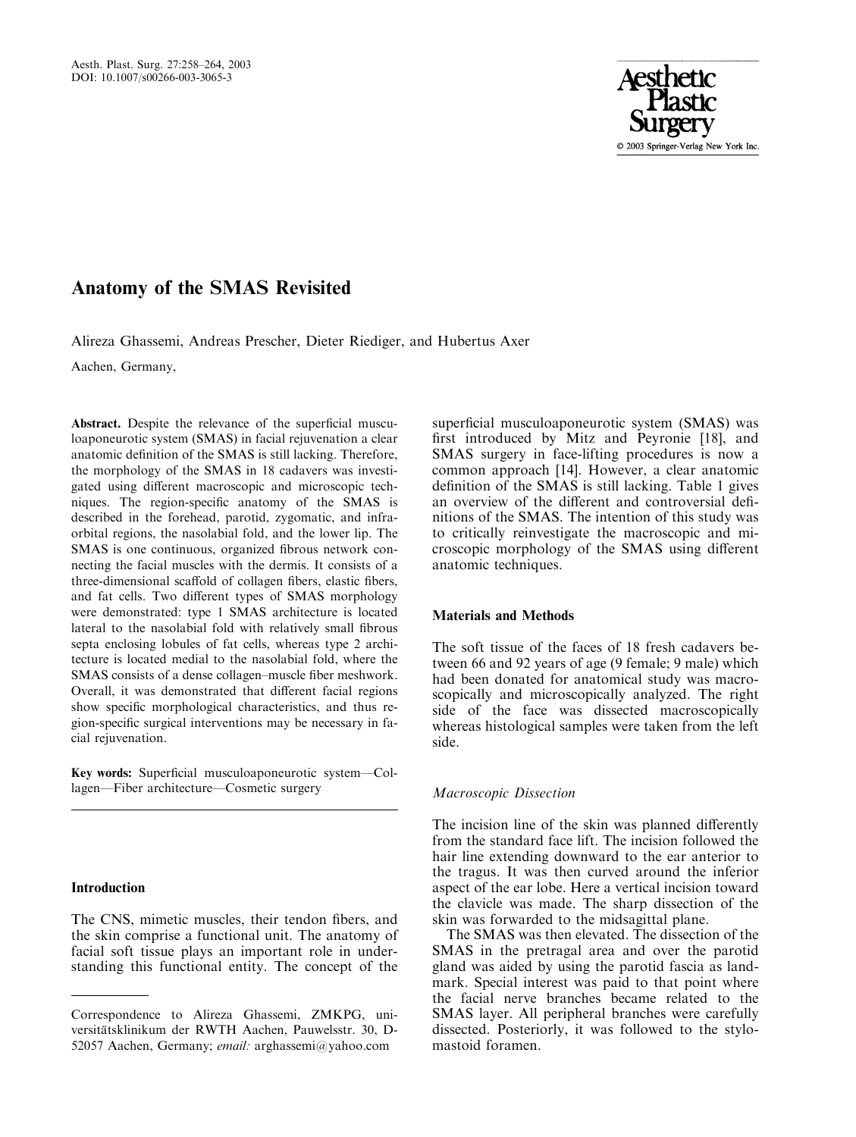

# Anatomy of the SMAS Revisited

Alireza Ghassemi, Andreas Prescher, Dieter Riediger, and Hubertus Axer

Aachen, Germany,

Abstract. Despite the relevance of the superficial musculoaponeurotic system (SMAS) in facial rejuvenation a clear anatomic definition of the SMAS is still lacking. Therefore, the morphology of the SMAS in 18 cadavers was investigated using different macroscopic and microscopic techniques. The region-specific anatomy of the SMAS is described in the forehead, parotid, zygomatic, and infraorbital regions, the nasolabial fold, and the lower lip. The SMAS is one continuous, organized fibrous network connecting the facial muscles with the dermis. It consists of a three-dimensional scaffold of collagen fibers, elastic fibers, and fat cells. Two different types of SMAS morphology were demonstrated: type 1 SMAS architecture is located lateral to the nasolabial fold with relatively small fibrous septa enclosing lobules of fat cells, whereas type 2 architecture is located medial to the nasolabial fold, where the SMAS consists of a dense collagen–muscle fiber meshwork. Overall, it was demonstrated that different facial regions show specific morphological characteristics, and thus region-specific surgical interventions may be necessary in facial rejuvenation.

Key words: Superficial musculoaponeurotic system—Collagen—Fiber architecture—Cosmetic surgery

## Introduction

The CNS, mimetic muscles, their tendon fibers, and the skin comprise a functional unit. The anatomy of facial soft tissue plays an important role in understanding this functional entity. The concept of the superficial musculoaponeurotic system (SMAS) was first introduced by Mitz and Peyronie [18], and SMAS surgery in face-lifting procedures is now a common approach [14]. However, a clear anatomic definition of the SMAS is still lacking. Table 1 gives an overview of the different and controversial definitions of the SMAS. The intention of this study was to critically reinvestigate the macroscopic and microscopic morphology of the SMAS using different anatomic techniques.

#### Materials and Methods

The soft tissue of the faces of 18 fresh cadavers between 66 and 92 years of age (9 female; 9 male) which had been donated for anatomical study was macroscopically and microscopically analyzed. The right side of the face was dissected macroscopically whereas histological samples were taken from the left side.

## Macroscopic Dissection

The incision line of the skin was planned differently from the standard face lift. The incision followed the hair line extending downward to the ear anterior to the tragus. It was then curved around the inferior aspect of the ear lobe. Here a vertical incision toward the clavicle was made. The sharp dissection of the skin was forwarded to the midsagittal plane.

The SMAS was then elevated. The dissection of the SMAS in the pretragal area and over the parotid gland was aided by using the parotid fascia as landmark. Special interest was paid to that point where the facial nerve branches became related to the SMAS layer. All peripheral branches were carefully dissected. Posteriorly, it was followed to the stylomastoid foramen.

Correspondence to Alireza Ghassemi, ZMKPG, universitätsklinikum der RWTH Aachen, Pauwelsstr. 30, D-52057 Aachen, Germany; email: arghassemi@yahoo.com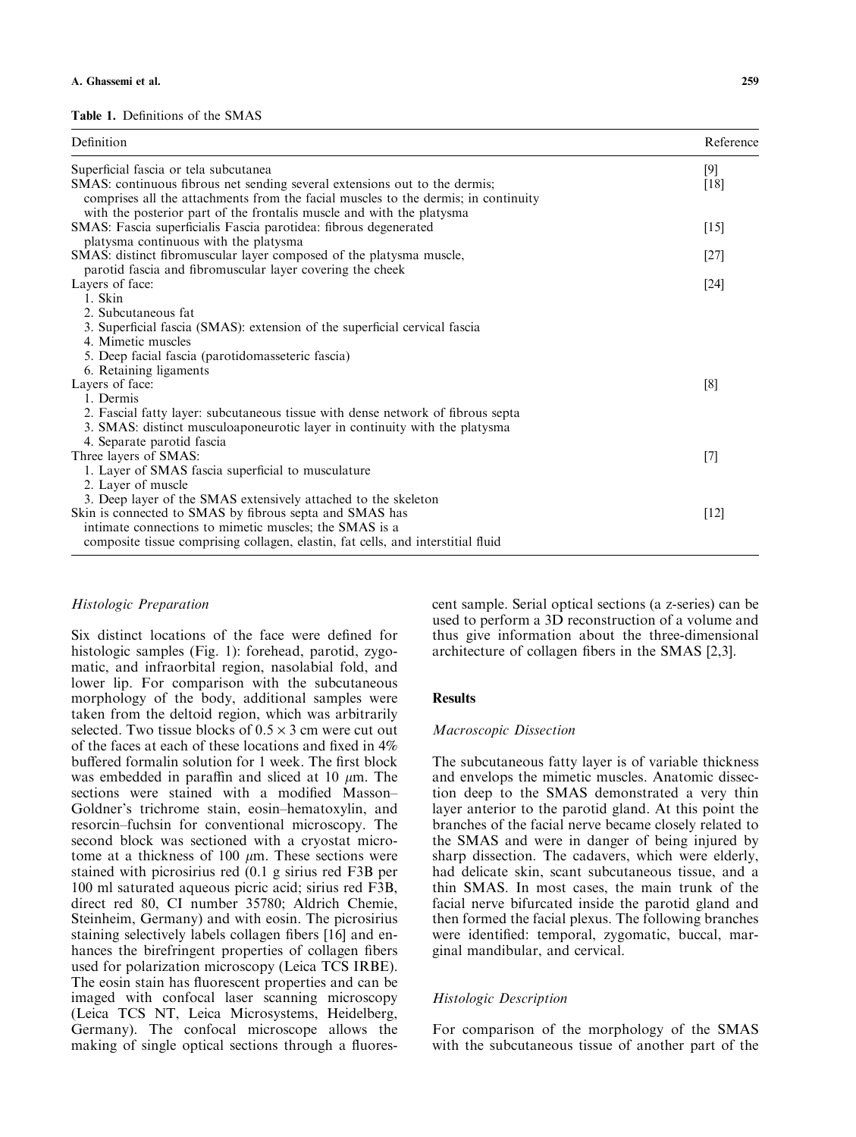#### Table 1. Definitions of the SMAS

| Definition                                                                                                                                                                                                                                | Reference |
|-------------------------------------------------------------------------------------------------------------------------------------------------------------------------------------------------------------------------------------------|-----------|
| Superficial fascia or tela subcutanea                                                                                                                                                                                                     | $[9]$     |
| SMAS: continuous fibrous net sending several extensions out to the dermis;<br>comprises all the attachments from the facial muscles to the dermis; in continuity<br>with the posterior part of the frontalis muscle and with the platysma | $[18]$    |
| SMAS: Fascia superficialis Fascia parotidea: fibrous degenerated<br>platysma continuous with the platysma                                                                                                                                 | $[15]$    |
| SMAS: distinct fibromuscular layer composed of the platysma muscle,<br>parotid fascia and fibromuscular layer covering the cheek                                                                                                          | [27]      |
| Layers of face:<br>1. Skin<br>2. Subcutaneous fat.                                                                                                                                                                                        | $[24]$    |
| 3. Superficial fascia (SMAS): extension of the superficial cervical fascia<br>4. Mimetic muscles                                                                                                                                          |           |
| 5. Deep facial fascia (parotidomasseteric fascia)                                                                                                                                                                                         |           |
| 6. Retaining ligaments                                                                                                                                                                                                                    |           |
| Layers of face:<br>1. Dermis                                                                                                                                                                                                              | [8]       |
| 2. Fascial fatty layer: subcutaneous tissue with dense network of fibrous septa<br>3. SMAS: distinct musculoaponeurotic layer in continuity with the platysma                                                                             |           |
| 4. Separate parotid fascia                                                                                                                                                                                                                |           |
| Three layers of SMAS:<br>1. Layer of SMAS fascia superficial to musculature<br>2. Layer of muscle                                                                                                                                         | $[7]$     |
| 3. Deep layer of the SMAS extensively attached to the skeleton                                                                                                                                                                            |           |
| Skin is connected to SMAS by fibrous septa and SMAS has<br>intimate connections to mimetic muscles; the SMAS is a<br>composite tissue comprising collagen, elastin, fat cells, and interstitial fluid                                     | $[12]$    |

# Histologic Preparation

Six distinct locations of the face were defined for histologic samples (Fig. 1): forehead, parotid, zygomatic, and infraorbital region, nasolabial fold, and lower lip. For comparison with the subcutaneous morphology of the body, additional samples were taken from the deltoid region, which was arbitrarily selected. Two tissue blocks of  $0.5 \times 3$  cm were cut out of the faces at each of these locations and fixed in 4% buffered formalin solution for 1 week. The first block was embedded in paraffin and sliced at 10  $\mu$ m. The sections were stained with a modified Masson– Goldner's trichrome stain, eosin–hematoxylin, and resorcin–fuchsin for conventional microscopy. The second block was sectioned with a cryostat microtome at a thickness of 100  $\mu$ m. These sections were stained with picrosirius red (0.1 g sirius red F3B per 100 ml saturated aqueous picric acid; sirius red F3B, direct red 80, CI number 35780; Aldrich Chemie, Steinheim, Germany) and with eosin. The picrosirius staining selectively labels collagen fibers [16] and enhances the birefringent properties of collagen fibers used for polarization microscopy (Leica TCS IRBE). The eosin stain has fluorescent properties and can be imaged with confocal laser scanning microscopy (Leica TCS NT, Leica Microsystems, Heidelberg, Germany). The confocal microscope allows the making of single optical sections through a fluorescent sample. Serial optical sections (a z-series) can be used to perform a 3D reconstruction of a volume and thus give information about the three-dimensional architecture of collagen fibers in the SMAS [2,3].

## Results

## Macroscopic Dissection

The subcutaneous fatty layer is of variable thickness and envelops the mimetic muscles. Anatomic dissection deep to the SMAS demonstrated a very thin layer anterior to the parotid gland. At this point the branches of the facial nerve became closely related to the SMAS and were in danger of being injured by sharp dissection. The cadavers, which were elderly, had delicate skin, scant subcutaneous tissue, and a thin SMAS. In most cases, the main trunk of the facial nerve bifurcated inside the parotid gland and then formed the facial plexus. The following branches were identified: temporal, zygomatic, buccal, marginal mandibular, and cervical.

## Histologic Description

For comparison of the morphology of the SMAS with the subcutaneous tissue of another part of the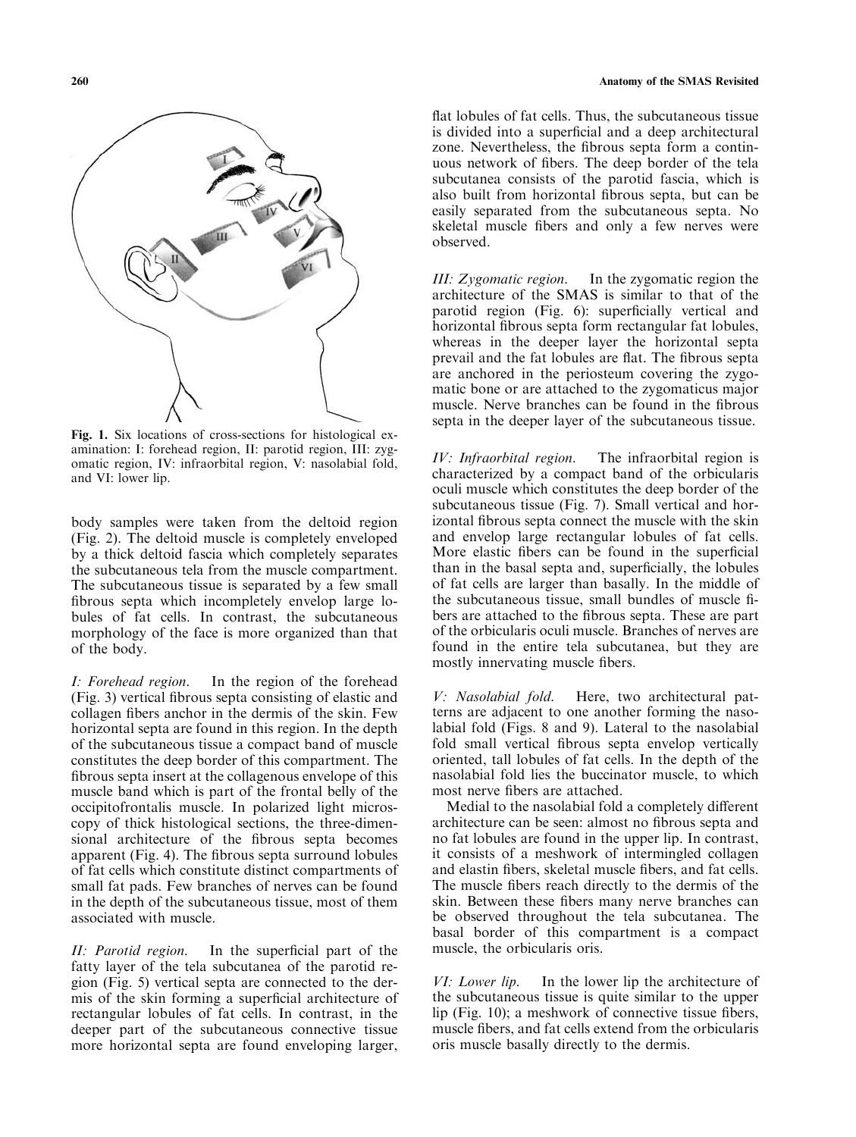

Fig. 1. Six locations of cross-sections for histological examination: I: forehead region, II: parotid region, III: zygomatic region, IV: infraorbital region, V: nasolabial fold, and VI: lower lip.

body samples were taken from the deltoid region (Fig. 2). The deltoid muscle is completely enveloped by a thick deltoid fascia which completely separates the subcutaneous tela from the muscle compartment. The subcutaneous tissue is separated by a few small fibrous septa which incompletely envelop large lobules of fat cells. In contrast, the subcutaneous morphology of the face is more organized than that of the body.

I: Forehead region. In the region of the forehead (Fig. 3) vertical fibrous septa consisting of elastic and collagen fibers anchor in the dermis of the skin. Few horizontal septa are found in this region. In the depth of the subcutaneous tissue a compact band of muscle constitutes the deep border of this compartment. The fibrous septa insert at the collagenous envelope of this muscle band which is part of the frontal belly of the occipitofrontalis muscle. In polarized light microscopy of thick histological sections, the three-dimensional architecture of the fibrous septa becomes apparent (Fig. 4). The fibrous septa surround lobules of fat cells which constitute distinct compartments of small fat pads. Few branches of nerves can be found in the depth of the subcutaneous tissue, most of them associated with muscle.

II: Parotid region. In the superficial part of the fatty layer of the tela subcutanea of the parotid region (Fig. 5) vertical septa are connected to the dermis of the skin forming a superficial architecture of rectangular lobules of fat cells. In contrast, in the deeper part of the subcutaneous connective tissue more horizontal septa are found enveloping larger, flat lobules of fat cells. Thus, the subcutaneous tissue is divided into a superficial and a deep architectural zone. Nevertheless, the fibrous septa form a continuous network of fibers. The deep border of the tela subcutanea consists of the parotid fascia, which is also built from horizontal fibrous septa, but can be easily separated from the subcutaneous septa. No skeletal muscle fibers and only a few nerves were observed.

III: Zygomatic region. In the zygomatic region the architecture of the SMAS is similar to that of the parotid region (Fig. 6): superficially vertical and horizontal fibrous septa form rectangular fat lobules, whereas in the deeper layer the horizontal septa prevail and the fat lobules are flat. The fibrous septa are anchored in the periosteum covering the zygomatic bone or are attached to the zygomaticus major muscle. Nerve branches can be found in the fibrous septa in the deeper layer of the subcutaneous tissue.

IV: Infraorbital region. The infraorbital region is characterized by a compact band of the orbicularis oculi muscle which constitutes the deep border of the subcutaneous tissue (Fig. 7). Small vertical and horizontal fibrous septa connect the muscle with the skin and envelop large rectangular lobules of fat cells. More elastic fibers can be found in the superficial than in the basal septa and, superficially, the lobules of fat cells are larger than basally. In the middle of the subcutaneous tissue, small bundles of muscle fibers are attached to the fibrous septa. These are part of the orbicularis oculi muscle. Branches of nerves are found in the entire tela subcutanea, but they are mostly innervating muscle fibers.

V: Nasolabial fold. Here, two architectural patterns are adjacent to one another forming the nasolabial fold (Figs. 8 and 9). Lateral to the nasolabial fold small vertical fibrous septa envelop vertically oriented, tall lobules of fat cells. In the depth of the nasolabial fold lies the buccinator muscle, to which most nerve fibers are attached.

Medial to the nasolabial fold a completely different architecture can be seen: almost no fibrous septa and no fat lobules are found in the upper lip. In contrast, it consists of a meshwork of intermingled collagen and elastin fibers, skeletal muscle fibers, and fat cells. The muscle fibers reach directly to the dermis of the skin. Between these fibers many nerve branches can be observed throughout the tela subcutanea. The basal border of this compartment is a compact muscle, the orbicularis oris.

VI: Lower lip. In the lower lip the architecture of the subcutaneous tissue is quite similar to the upper lip (Fig. 10); a meshwork of connective tissue fibers, muscle fibers, and fat cells extend from the orbicularis oris muscle basally directly to the dermis.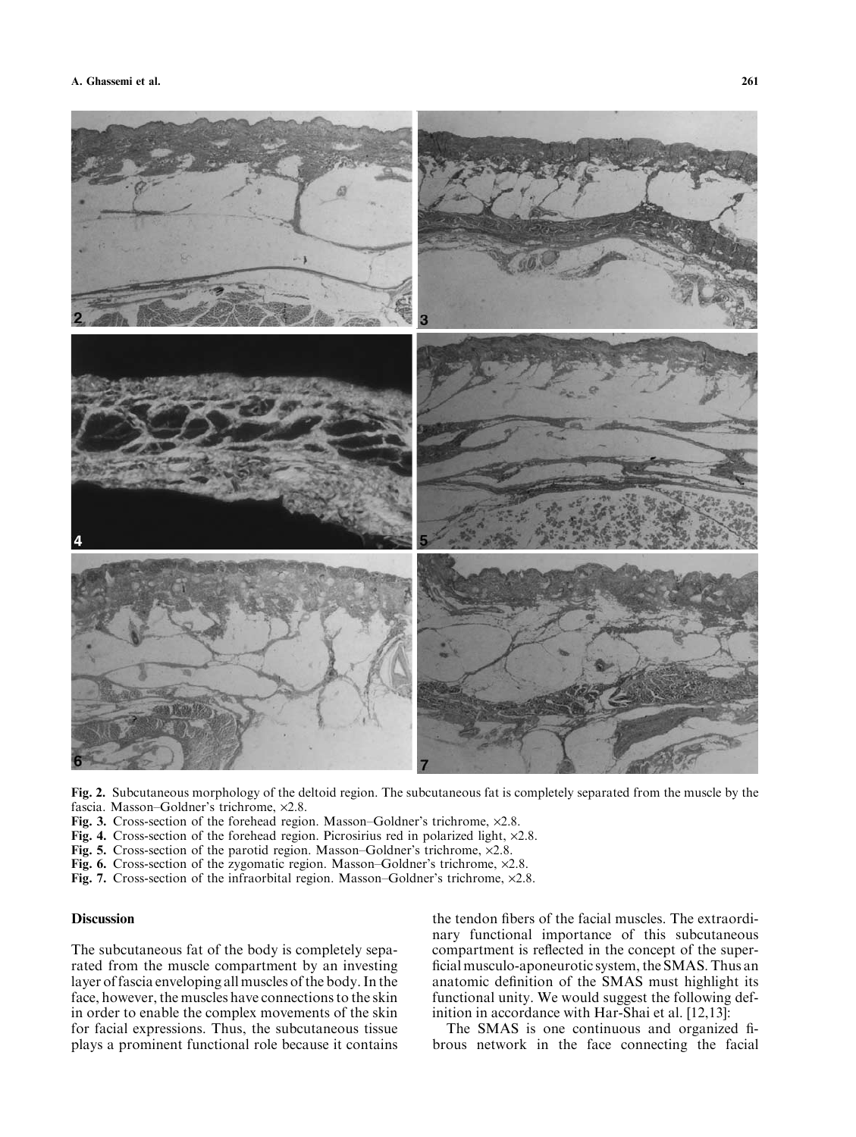

Fig. 2. Subcutaneous morphology of the deltoid region. The subcutaneous fat is completely separated from the muscle by the fascia. Masson–Goldner's trichrome, ×2.8.

- Fig. 3. Cross-section of the forehead region. Masson–Goldner's trichrome,  $\times 2.8$ .
- Fig. 4. Cross-section of the forehead region. Picrosirius red in polarized light,  $\times 2.8$ .
- Fig. 5. Cross-section of the parotid region. Masson–Goldner's trichrome,  $\times 2.8$ .
- Fig. 6. Cross-section of the zygomatic region. Masson–Goldner's trichrome,  $\times 2.8$ .
- Fig. 7. Cross-section of the infraorbital region. Masson–Goldner's trichrome,  $\times 2.8$ .

## **Discussion**

The subcutaneous fat of the body is completely separated from the muscle compartment by an investing layer of fascia enveloping all muscles of the body. In the face, however, the muscles have connections to the skin in order to enable the complex movements of the skin for facial expressions. Thus, the subcutaneous tissue plays a prominent functional role because it contains the tendon fibers of the facial muscles. The extraordinary functional importance of this subcutaneous compartment is reflected in the concept of the superficial musculo-aponeurotic system, the SMAS. Thus an anatomic definition of the SMAS must highlight its functional unity. We would suggest the following definition in accordance with Har-Shai et al. [12,13]:

The SMAS is one continuous and organized fibrous network in the face connecting the facial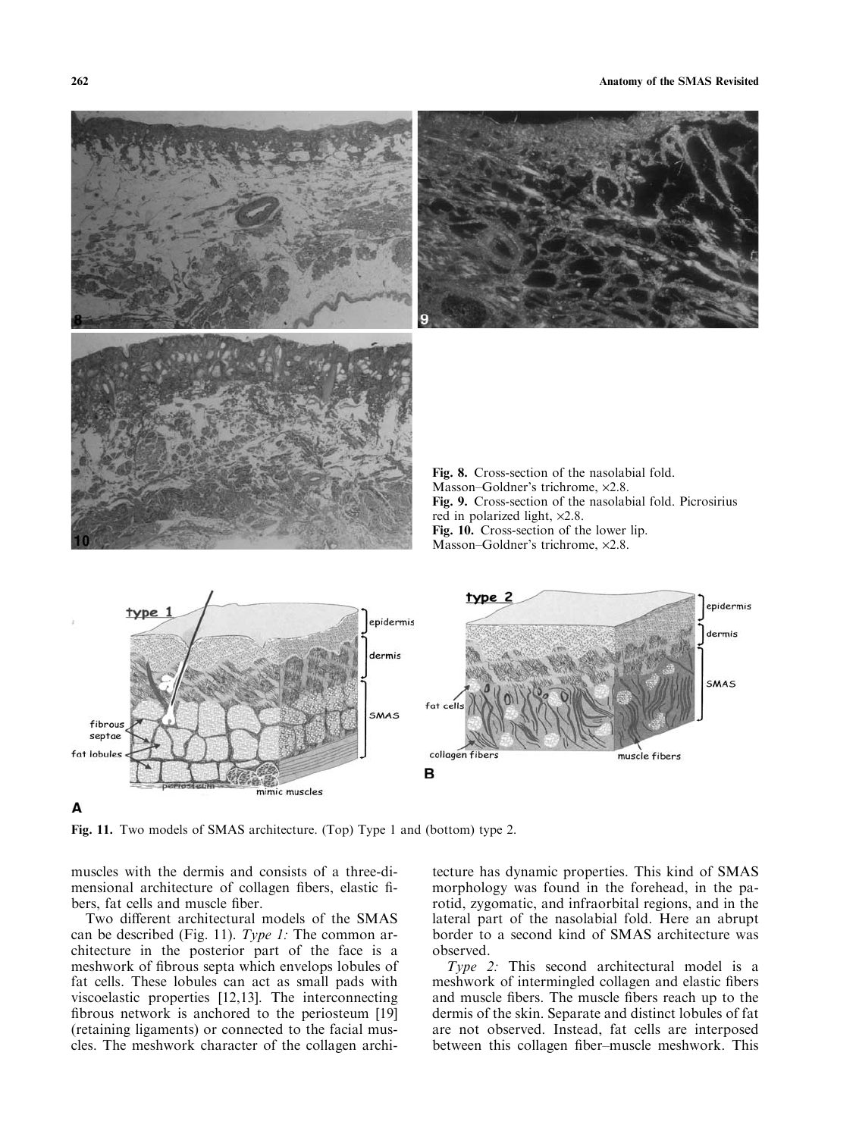



Fig. 8. Cross-section of the nasolabial fold. Masson–Goldner's trichrome,  $\times 2.8$ . Fig. 9. Cross-section of the nasolabial fold. Picrosirius red in polarized light,  $\times 2.8$ . Fig. 10. Cross-section of the lower lip. Masson–Goldner's trichrome,  $\times 2.8$ .



#### А

Fig. 11. Two models of SMAS architecture. (Top) Type 1 and (bottom) type 2.

muscles with the dermis and consists of a three-dimensional architecture of collagen fibers, elastic fibers, fat cells and muscle fiber.

Two different architectural models of the SMAS can be described (Fig. 11). Type 1: The common architecture in the posterior part of the face is a meshwork of fibrous septa which envelops lobules of fat cells. These lobules can act as small pads with viscoelastic properties [12,13]. The interconnecting fibrous network is anchored to the periosteum [19] (retaining ligaments) or connected to the facial muscles. The meshwork character of the collagen architecture has dynamic properties. This kind of SMAS morphology was found in the forehead, in the parotid, zygomatic, and infraorbital regions, and in the lateral part of the nasolabial fold. Here an abrupt border to a second kind of SMAS architecture was observed.

Type 2: This second architectural model is a meshwork of intermingled collagen and elastic fibers and muscle fibers. The muscle fibers reach up to the dermis of the skin. Separate and distinct lobules of fat are not observed. Instead, fat cells are interposed between this collagen fiber–muscle meshwork. This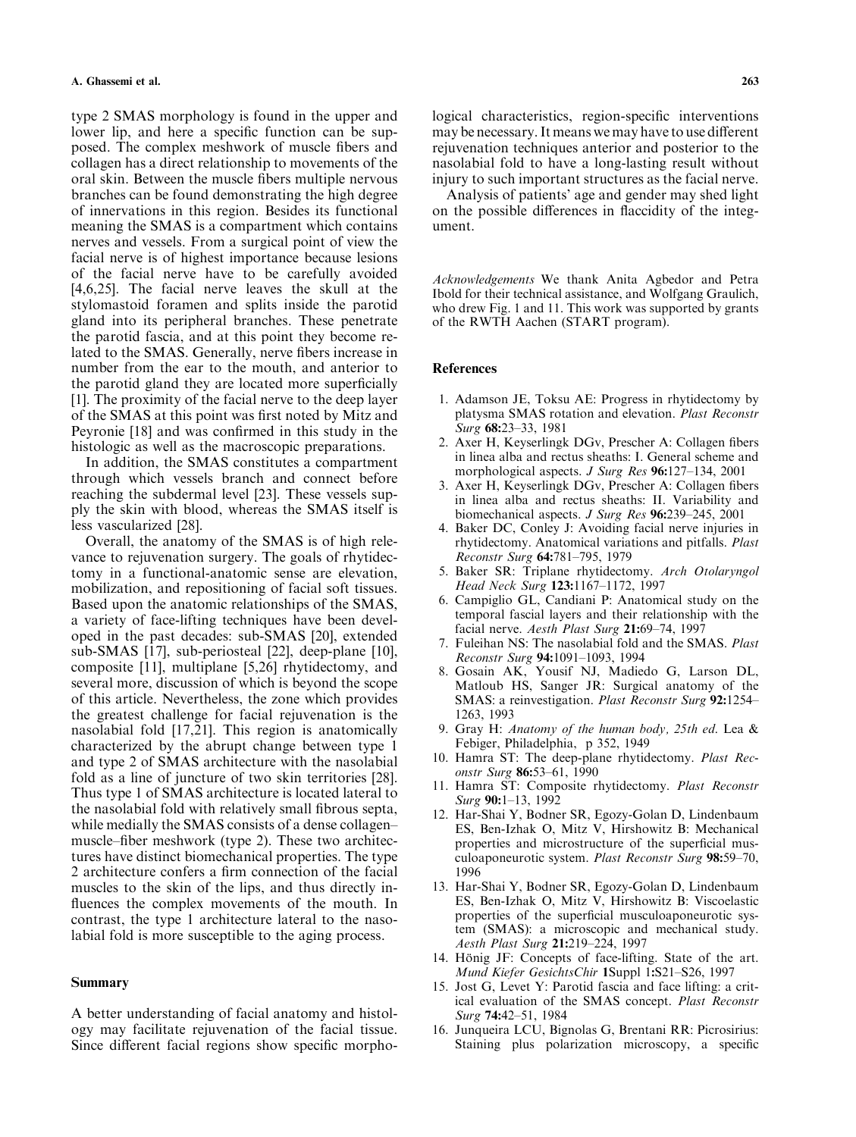type 2 SMAS morphology is found in the upper and lower lip, and here a specific function can be supposed. The complex meshwork of muscle fibers and collagen has a direct relationship to movements of the oral skin. Between the muscle fibers multiple nervous branches can be found demonstrating the high degree of innervations in this region. Besides its functional meaning the SMAS is a compartment which contains nerves and vessels. From a surgical point of view the facial nerve is of highest importance because lesions of the facial nerve have to be carefully avoided [4,6,25]. The facial nerve leaves the skull at the stylomastoid foramen and splits inside the parotid gland into its peripheral branches. These penetrate the parotid fascia, and at this point they become related to the SMAS. Generally, nerve fibers increase in number from the ear to the mouth, and anterior to the parotid gland they are located more superficially [1]. The proximity of the facial nerve to the deep layer of the SMAS at this point was first noted by Mitz and Peyronie [18] and was confirmed in this study in the histologic as well as the macroscopic preparations.

In addition, the SMAS constitutes a compartment through which vessels branch and connect before reaching the subdermal level [23]. These vessels supply the skin with blood, whereas the SMAS itself is less vascularized [28].

Overall, the anatomy of the SMAS is of high relevance to rejuvenation surgery. The goals of rhytidectomy in a functional-anatomic sense are elevation, mobilization, and repositioning of facial soft tissues. Based upon the anatomic relationships of the SMAS, a variety of face-lifting techniques have been developed in the past decades: sub-SMAS [20], extended sub-SMAS [17], sub-periosteal [22], deep-plane [10], composite [11], multiplane [5,26] rhytidectomy, and several more, discussion of which is beyond the scope of this article. Nevertheless, the zone which provides the greatest challenge for facial rejuvenation is the nasolabial fold [17,21]. This region is anatomically characterized by the abrupt change between type 1 and type 2 of SMAS architecture with the nasolabial fold as a line of juncture of two skin territories [28]. Thus type 1 of SMAS architecture is located lateral to the nasolabial fold with relatively small fibrous septa, while medially the SMAS consists of a dense collagen– muscle–fiber meshwork (type 2). These two architectures have distinct biomechanical properties. The type 2 architecture confers a firm connection of the facial muscles to the skin of the lips, and thus directly influences the complex movements of the mouth. In contrast, the type 1 architecture lateral to the nasolabial fold is more susceptible to the aging process.

#### Summary

A better understanding of facial anatomy and histology may facilitate rejuvenation of the facial tissue. Since different facial regions show specific morphological characteristics, region-specific interventions may be necessary. It means we may have to use different rejuvenation techniques anterior and posterior to the nasolabial fold to have a long-lasting result without injury to such important structures as the facial nerve.

Analysis of patients' age and gender may shed light on the possible differences in flaccidity of the integument.

Acknowledgements We thank Anita Agbedor and Petra Ibold for their technical assistance, and Wolfgang Graulich, who drew Fig. 1 and 11. This work was supported by grants of the RWTH Aachen (START program).

#### References

- 1. Adamson JE, Toksu AE: Progress in rhytidectomy by platysma SMAS rotation and elevation. Plast Reconstr Surg 68:23–33, 1981
- 2. Axer H, Keyserlingk DGv, Prescher A: Collagen fibers in linea alba and rectus sheaths: I. General scheme and morphological aspects. J Surg Res 96:127-134, 2001
- 3. Axer H, Keyserlingk DGv, Prescher A: Collagen fibers in linea alba and rectus sheaths: II. Variability and biomechanical aspects. J Surg Res 96:239–245, 2001
- 4. Baker DC, Conley J: Avoiding facial nerve injuries in rhytidectomy. Anatomical variations and pitfalls. Plast Reconstr Surg 64:781–795, 1979
- 5. Baker SR: Triplane rhytidectomy. Arch Otolaryngol Head Neck Surg 123:1167–1172, 1997
- 6. Campiglio GL, Candiani P: Anatomical study on the temporal fascial layers and their relationship with the facial nerve. Aesth Plast Surg 21:69-74, 1997
- 7. Fuleihan NS: The nasolabial fold and the SMAS. Plast Reconstr Surg 94:1091–1093, 1994
- 8. Gosain AK, Yousif NJ, Madiedo G, Larson DL, Matloub HS, Sanger JR: Surgical anatomy of the SMAS: a reinvestigation. Plast Reconstr Surg 92:1254-1263, 1993
- 9. Gray H: Anatomy of the human body, 25th ed. Lea & Febiger, Philadelphia, p 352, 1949
- 10. Hamra ST: The deep-plane rhytidectomy. Plast Reconstr Surg 86:53–61, 1990
- 11. Hamra ST: Composite rhytidectomy. Plast Reconstr Surg 90:1–13, 1992
- 12. Har-Shai Y, Bodner SR, Egozy-Golan D, Lindenbaum ES, Ben-Izhak O, Mitz V, Hirshowitz B: Mechanical properties and microstructure of the superficial musculoaponeurotic system. Plast Reconstr Surg 98:59–70, 1996
- 13. Har-Shai Y, Bodner SR, Egozy-Golan D, Lindenbaum ES, Ben-Izhak O, Mitz V, Hirshowitz B: Viscoelastic properties of the superficial musculoaponeurotic system (SMAS): a microscopic and mechanical study. Aesth Plast Surg 21:219–224, 1997
- 14. Honig JF: Concepts of face-lifting. State of the art. Mund Kiefer GesichtsChir 1Suppl 1:S21–S26, 1997
- 15. Jost G, Levet Y: Parotid fascia and face lifting: a critical evaluation of the SMAS concept. Plast Reconstr Surg 74:42–51, 1984
- 16. Junqueira LCU, Bignolas G, Brentani RR: Picrosirius: Staining plus polarization microscopy, a specific